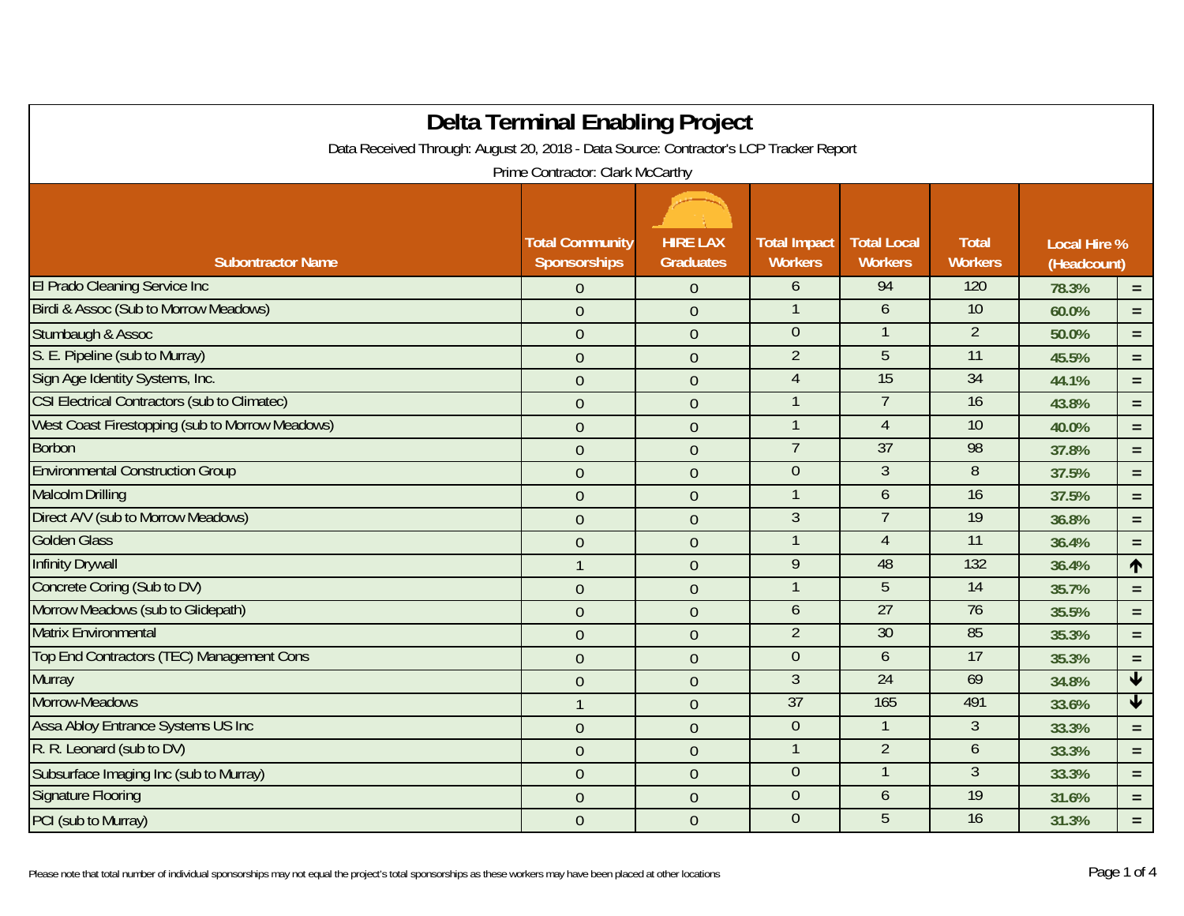| <b>Delta Terminal Enabling Project</b>                                                |                        |                  |                     |                    |                 |                     |                 |
|---------------------------------------------------------------------------------------|------------------------|------------------|---------------------|--------------------|-----------------|---------------------|-----------------|
| Data Received Through: August 20, 2018 - Data Source: Contractor's LCP Tracker Report |                        |                  |                     |                    |                 |                     |                 |
| Prime Contractor: Clark McCarthy                                                      |                        |                  |                     |                    |                 |                     |                 |
|                                                                                       |                        |                  |                     |                    |                 |                     |                 |
|                                                                                       | <b>Total Community</b> | <b>HIRE LAX</b>  | <b>Total Impact</b> | <b>Total Local</b> | <b>Total</b>    | <b>Local Hire %</b> |                 |
| <b>Subontractor Name</b>                                                              | Sponsorships           | <b>Graduates</b> | <b>Workers</b>      | <b>Workers</b>     | <b>Workers</b>  | (Headcount)         |                 |
| El Prado Cleaning Service Inc                                                         | $\overline{0}$         | $\overline{0}$   | 6                   | 94                 | 120             | 78.3%               | $\equiv$        |
| Birdi & Assoc (Sub to Morrow Meadows)                                                 | $\overline{0}$         | $\mathbf{0}$     |                     | 6                  | 10              | 60.0%               | $=$             |
| Stumbaugh & Assoc                                                                     | $\overline{0}$         | $\mathbf 0$      | $\overline{0}$      |                    | $\overline{2}$  | 50.0%               | $=$ $\,$        |
| S. E. Pipeline (sub to Murray)                                                        | $\theta$               | $\boldsymbol{0}$ | $\overline{2}$      | 5                  | $\overline{11}$ | 45.5%               | $\equiv$        |
| Sign Age Identity Systems, Inc.                                                       | $\theta$               | $\overline{0}$   | $\overline{4}$      | 15                 | 34              | 44.1%               | $=$             |
| <b>CSI Electrical Contractors (sub to Climatec)</b>                                   | $\overline{0}$         | $\mathbf{0}$     |                     | $\overline{7}$     | 16              | 43.8%               | $\equiv$        |
| West Coast Firestopping (sub to Morrow Meadows)                                       | $\theta$               | $\overline{0}$   |                     | $\overline{4}$     | 10              | 40.0%               | $=$             |
| <b>Borbon</b>                                                                         | $\overline{0}$         | $\mathbf{0}$     | $\overline{7}$      | 37                 | 98              | 37.8%               | $=$             |
| <b>Environmental Construction Group</b>                                               | $\overline{0}$         | $\overline{0}$   | $\Omega$            | $\mathfrak{Z}$     | 8               | 37.5%               | $\equiv$        |
| <b>Malcolm Drilling</b>                                                               | $\theta$               | $\mathbf 0$      |                     | 6                  | 16              | 37.5%               | $=$             |
| Direct A/V (sub to Morrow Meadows)                                                    | $\theta$               | $\boldsymbol{0}$ | $\mathfrak{Z}$      | $\overline{7}$     | 19              | 36.8%               | $\equiv$        |
| <b>Golden Glass</b>                                                                   | $\overline{0}$         | $\overline{0}$   |                     | $\overline{4}$     | 11              | 36.4%               | $\equiv$        |
| <b>Infinity Drywall</b>                                                               | $\mathbf{1}$           | $\boldsymbol{0}$ | 9                   | 48                 | 132             | 36.4%               | $\uparrow$      |
| Concrete Coring (Sub to DV)                                                           | $\theta$               | $\overline{0}$   |                     | 5                  | 14              | 35.7%               | $\equiv$        |
| Morrow Meadows (sub to Glidepath)                                                     | $\theta$               | $\overline{0}$   | $\mathfrak b$       | 27                 | 76              | 35.5%               | $\equiv$        |
| <b>Matrix Environmental</b>                                                           | $\overline{0}$         | $\boldsymbol{0}$ | $\overline{2}$      | 30                 | 85              | 35.3%               | $\equiv$        |
| Top End Contractors (TEC) Management Cons                                             | $\overline{0}$         | $\overline{0}$   | $\overline{0}$      | 6                  | 17              | 35.3%               | $\equiv$        |
| <b>Murray</b>                                                                         | $\boldsymbol{0}$       | $\boldsymbol{0}$ | $\overline{3}$      | 24                 | 69              | 34.8%               | $\blacklozenge$ |
| Morrow-Meadows                                                                        |                        | $\mathbf{0}$     | 37                  | 165                | 491             | 33.6%               | $\blacklozenge$ |
| <b>Assa Abloy Entrance Systems US Inc.</b>                                            | $\overline{0}$         | $\overline{0}$   | $\overline{0}$      |                    | 3               | 33.3%               | $\equiv$        |
| R. R. Leonard (sub to DV)                                                             | $\theta$               | $\boldsymbol{0}$ |                     | $\overline{2}$     | 6               | 33.3%               | $=$ $\,$        |
| Subsurface Imaging Inc (sub to Murray)                                                | $\theta$               | $\overline{0}$   | $\overline{0}$      |                    | 3               | 33.3%               | $=$ $\,$        |
| <b>Signature Flooring</b>                                                             | $\theta$               | $\boldsymbol{0}$ | $\overline{0}$      | 6                  | 19              | 31.6%               | $\equiv$        |
| PCI (sub to Murray)                                                                   | $\theta$               | $\overline{0}$   | $\overline{0}$      | 5                  | 16              | 31.3%               | $=$ .           |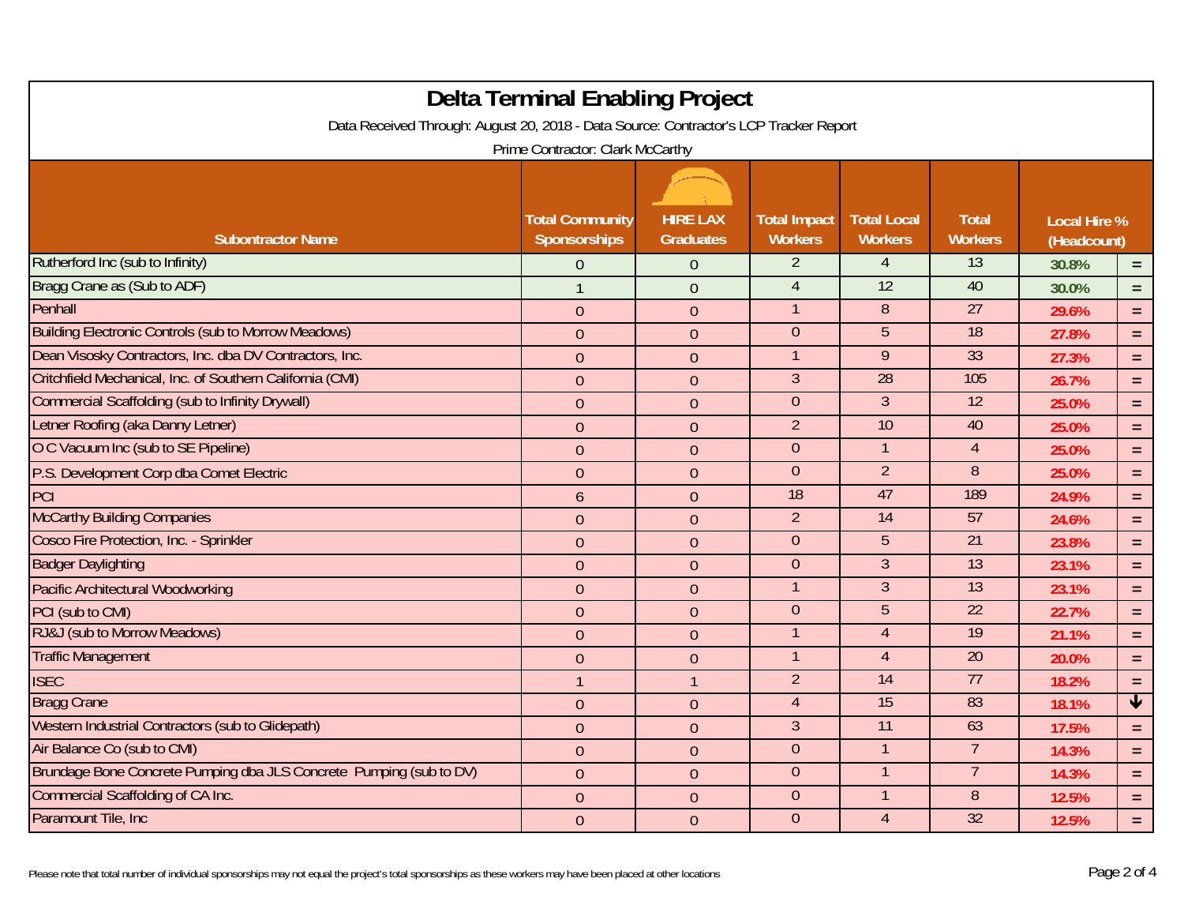| <b>Delta Terminal Enabling Project</b><br>Data Received Through: August 20, 2018 - Data Source: Contractor's LCP Tracker Report |                        |                  |                     |                    |                 |                     |                         |
|---------------------------------------------------------------------------------------------------------------------------------|------------------------|------------------|---------------------|--------------------|-----------------|---------------------|-------------------------|
| Prime Contractor: Clark McCarthy                                                                                                |                        |                  |                     |                    |                 |                     |                         |
|                                                                                                                                 | <b>Total Community</b> | <b>HIRE LAX</b>  | <b>Total Impact</b> | <b>Total Local</b> | <b>Total</b>    | <b>Local Hire %</b> |                         |
| <b>Subontractor Name</b>                                                                                                        | <b>Sponsorships</b>    | <b>Graduates</b> | <b>Workers</b>      | <b>Workers</b>     | <b>Workers</b>  | (Headcount)         |                         |
| Rutherford Inc (sub to Infinity)                                                                                                | $\overline{0}$         | $\theta$         | $\overline{2}$      | 4                  | 13              | 30.8%               | $\equiv$                |
| Bragg Crane as (Sub to ADF)                                                                                                     | $\mathbf{1}$           | $\overline{0}$   | $\overline{4}$      | 12                 | 40              | 30.0%               | $\equiv$                |
| Penhall                                                                                                                         | $\theta$               | $\mathbf{0}$     |                     | 8                  | $\overline{27}$ | 29.6%               | $\equiv$                |
| <b>Building Electronic Controls (sub to Morrow Meadows)</b>                                                                     | $\theta$               | $\mathbf{0}$     | $\overline{0}$      | 5                  | $\overline{18}$ | 27.8%               | $\equiv$                |
| Dean Visosky Contractors, Inc. dba DV Contractors, Inc.                                                                         | $\overline{0}$         | $\overline{0}$   | $\mathbf{1}$        | 9                  | 33              | 27.3%               | $\equiv$                |
| Critchfield Mechanical, Inc. of Southern California (CMI)                                                                       | $\theta$               | $\theta$         | $\overline{3}$      | $\overline{28}$    | 105             | 26.7%               | $\equiv$                |
| <b>Commercial Scaffolding (sub to Infinity Drywall)</b>                                                                         | $\boldsymbol{0}$       | $\boldsymbol{0}$ | $\overline{0}$      | $\mathfrak{Z}$     | $\overline{12}$ | 25.0%               | $\equiv$                |
| Letner Roofing (aka Danny Letner)                                                                                               | $\boldsymbol{0}$       | $\boldsymbol{0}$ | $\overline{2}$      | 10                 | 40              | 25.0%               | $\equiv$                |
| O C Vacuum Inc (sub to SE Pipeline)                                                                                             | $\overline{0}$         | $\overline{0}$   | $\overline{0}$      |                    | $\overline{4}$  | 25.0%               | $\equiv$                |
| P.S. Development Corp dba Comet Electric                                                                                        | $\theta$               | $\theta$         | $\overline{0}$      | $\overline{2}$     | 8               | 25.0%               | $=$                     |
| PCI                                                                                                                             | 6                      | $\mathbf{0}$     | $\overline{18}$     | 47                 | 189             | 24.9%               | $\equiv$                |
| <b>McCarthy Building Companies</b>                                                                                              | $\theta$               | $\mathbf{0}$     | 2                   | $\overline{14}$    | 57              | 24.6%               | $\equiv$                |
| Cosco Fire Protection, Inc. - Sprinkler                                                                                         | $\boldsymbol{0}$       | $\boldsymbol{0}$ | $\overline{0}$      | 5                  | $\overline{21}$ | 23.8%               | $=$                     |
| <b>Badger Daylighting</b>                                                                                                       | $\theta$               | $\theta$         | $\overline{0}$      | $\overline{3}$     | 13              | 23.1%               | $\equiv$                |
| Pacific Architectural Woodworking                                                                                               | $\mathbf{0}$           | $\mathbf{0}$     | $\mathbf 1$         | 3 <sup>1</sup>     | 13              | 23.1%               | $\equiv$                |
| PCI (sub to CMI)                                                                                                                | $\overline{0}$         | $\mathbf{0}$     | $\overline{0}$      | $\overline{5}$     | $\overline{22}$ | 22.7%               | $\equiv$                |
| RJ&J (sub to Morrow Meadows)                                                                                                    | $\overline{0}$         | $\boldsymbol{0}$ |                     | $\overline{4}$     | $\overline{19}$ | 21.1%               | $\equiv$                |
| <b>Traffic Management</b>                                                                                                       | $\theta$               | $\theta$         |                     | 4                  | $\overline{20}$ | 20.0%               | $\equiv$                |
| <b>ISEC</b>                                                                                                                     | $\overline{1}$         | $\mathbf{1}$     | $\overline{2}$      | $\overline{14}$    | 77              | 18.2%               | $\equiv$                |
| <b>Bragg Crane</b>                                                                                                              | $\mathbf{0}$           | $\boldsymbol{0}$ | $\overline{4}$      | 15                 | 83              | 18.1%               | $\overline{\mathbf{t}}$ |
| Western Industrial Contractors (sub to Glidepath)                                                                               | $\boldsymbol{0}$       | $\boldsymbol{0}$ | $\overline{3}$      | $\overline{11}$    | 63              | 17.5%               | $\equiv$                |
| Air Balance Co (sub to CMI)                                                                                                     | $\theta$               | $\theta$         | $\theta$            |                    | $\overline{7}$  | 14.3%               | $=$                     |
| Brundage Bone Concrete Pumping dba JLS Concrete Pumping (sub to DV)                                                             | $\overline{0}$         | $\mathbf{0}$     | $\overline{0}$      |                    | $\overline{7}$  | 14.3%               | $\equiv$                |
| <b>Commercial Scaffolding of CA Inc.</b>                                                                                        | $\overline{0}$         | $\boldsymbol{0}$ | $\overline{0}$      |                    | 8               | 12.5%               | $\equiv$                |
| Paramount Tile, Inc.                                                                                                            | $\overline{0}$         | $\overline{0}$   | $\overline{0}$      | $\overline{4}$     | 32              | 12.5%               | $\equiv$                |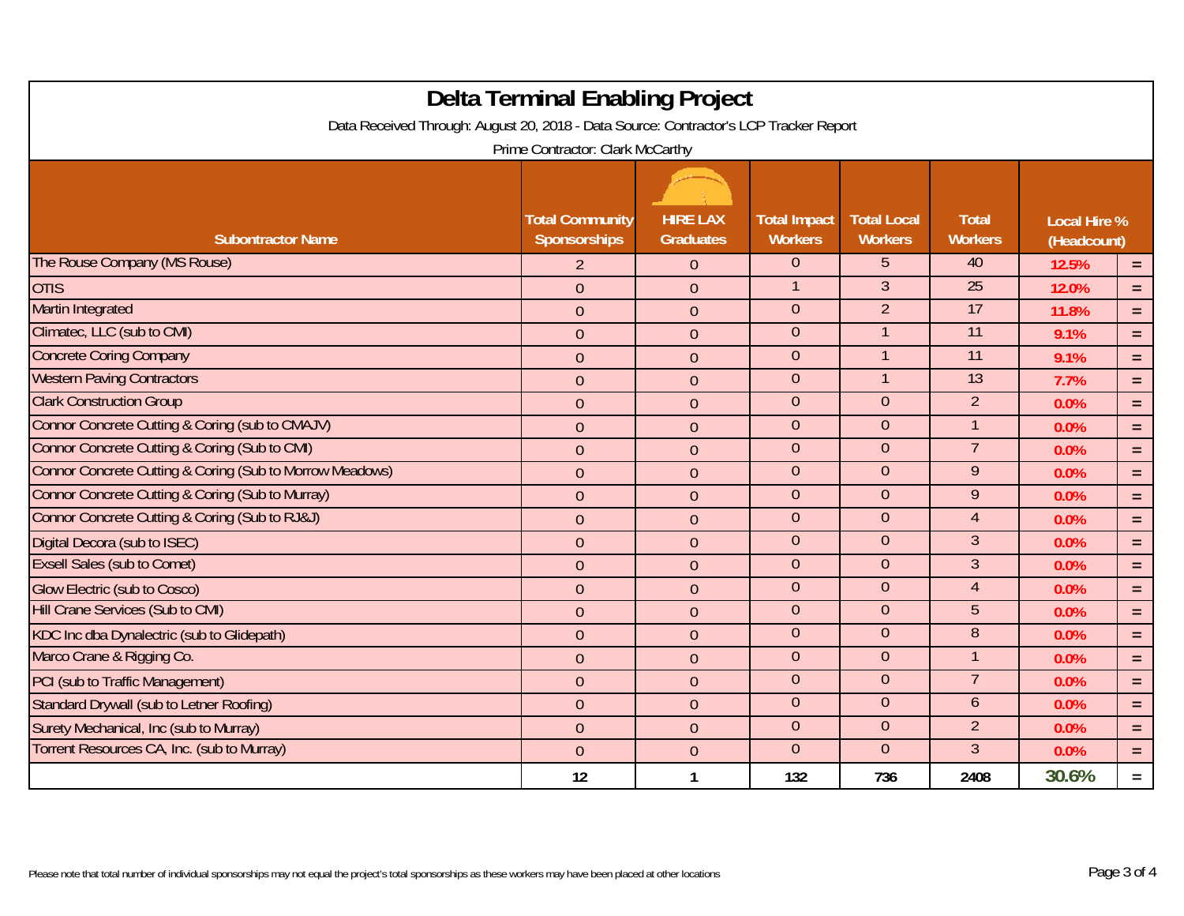|                                                                                       | <b>Delta Terminal Enabling Project</b> |                  |                     |                    |                 |                     |          |
|---------------------------------------------------------------------------------------|----------------------------------------|------------------|---------------------|--------------------|-----------------|---------------------|----------|
| Data Received Through: August 20, 2018 - Data Source: Contractor's LCP Tracker Report |                                        |                  |                     |                    |                 |                     |          |
| Prime Contractor: Clark McCarthy                                                      |                                        |                  |                     |                    |                 |                     |          |
|                                                                                       |                                        |                  |                     |                    |                 |                     |          |
|                                                                                       | <b>Total Community</b>                 | <b>HIRE LAX</b>  | <b>Total Impact</b> | <b>Total Local</b> | <b>Total</b>    | <b>Local Hire %</b> |          |
| <b>Subontractor Name</b>                                                              | Sponsorships                           | <b>Graduates</b> | <b>Workers</b>      | <b>Workers</b>     | <b>Workers</b>  | (Headcount)         |          |
| The Rouse Company (MS Rouse)                                                          | $\overline{2}$                         | $\theta$         | $\overline{0}$      | 5                  | 40              | 12.5%               | $=$      |
| <b>OTIS</b>                                                                           | $\mathbf{0}$                           | $\theta$         | $\mathbf{1}$        | $\overline{3}$     | 25              | 12.0%               | $=$      |
| <b>Martin Integrated</b>                                                              | $\overline{0}$                         | $\mathbf{0}$     | $\overline{0}$      | $\overline{2}$     | 17              | 11.8%               | $\equiv$ |
| Climatec, LLC (sub to CMI)                                                            | $\mathbf{0}$                           | $\theta$         | $\overline{0}$      |                    | $\overline{11}$ | 9.1%                | $=$      |
| <b>Concrete Coring Company</b>                                                        | $\mathbf{0}$                           | $\theta$         | $\overline{0}$      |                    | $\overline{11}$ | 9.1%                | $=$      |
| <b>Western Paving Contractors</b>                                                     | $\theta$                               | $\theta$         | $\overline{0}$      |                    | 13              | 7.7%                | $=$      |
| <b>Clark Construction Group</b>                                                       | $\boldsymbol{0}$                       | $\theta$         | $\overline{0}$      | $\overline{0}$     | $\overline{2}$  | 0.0%                | $=$      |
| Connor Concrete Cutting & Coring (sub to CMAJV)                                       | $\mathbf{0}$                           | $\overline{0}$   | $\overline{0}$      | $\overline{0}$     | $\mathbf{1}$    | 0.0%                | $=$      |
| Connor Concrete Cutting & Coring (Sub to CMI)                                         | $\theta$                               | $\theta$         | $\overline{0}$      | $\overline{0}$     | 7               | 0.0%                | $=$      |
| Connor Concrete Cutting & Coring (Sub to Morrow Meadows)                              | $\boldsymbol{0}$                       | $\theta$         | $\overline{0}$      | $\overline{0}$     | 9               | 0.0%                | $=$      |
| Connor Concrete Cutting & Coring (Sub to Murray)                                      | $\mathbf{0}$                           | $\theta$         | $\overline{0}$      | $\overline{0}$     | $\overline{9}$  | 0.0%                | $=$      |
| Connor Concrete Cutting & Coring (Sub to RJ&J)                                        | $\boldsymbol{0}$                       | $\theta$         | $\overline{0}$      | $\overline{0}$     | $\overline{4}$  | 0.0%                | $=$      |
| Digital Decora (sub to ISEC)                                                          | $\mathbf{0}$                           | $\theta$         | $\overline{0}$      | $\overline{0}$     | $\overline{3}$  | 0.0%                | $=$      |
| <b>Exsell Sales (sub to Comet)</b>                                                    | $\theta$                               | $\overline{0}$   | $\overline{0}$      | $\overline{0}$     | $\overline{3}$  | 0.0%                | $=$      |
| <b>Glow Electric (sub to Cosco)</b>                                                   | $\mathbf{0}$                           | $\mathbf{0}$     | $\overline{0}$      | $\overline{0}$     | $\overline{4}$  | 0.0%                | $=$      |
| Hill Crane Services (Sub to CMI)                                                      | $\theta$                               | $\overline{0}$   | $\overline{0}$      | $\overline{0}$     | 5               | 0.0%                | $=$      |
| KDC Inc dba Dynalectric (sub to Glidepath)                                            | $\mathbf{0}$                           | $\theta$         | $\overline{0}$      | $\overline{0}$     | 8               | 0.0%                | $=$      |
| Marco Crane & Rigging Co.                                                             | $\theta$                               | $\theta$         | $\overline{0}$      | $\overline{0}$     |                 | 0.0%                | $=$      |
| PCI (sub to Traffic Management)                                                       | $\theta$                               | $\theta$         | $\overline{0}$      | $\theta$           |                 | 0.0%                | $=$      |
| Standard Drywall (sub to Letner Roofing)                                              | $\mathbf{0}$                           | $\overline{0}$   | $\overline{0}$      | $\overline{0}$     | 6               | 0.0%                | $=$      |
| Surety Mechanical, Inc (sub to Murray)                                                | $\boldsymbol{0}$                       | $\boldsymbol{0}$ | $\overline{0}$      | $\overline{0}$     | $\overline{2}$  | 0.0%                | $=$      |
| Torrent Resources CA, Inc. (sub to Murray)                                            | $\theta$                               | $\theta$         | $\overline{0}$      | $\overline{0}$     | $\mathfrak{Z}$  | 0.0%                | $=$      |
|                                                                                       | 12                                     | $\mathbf{1}$     | 132                 | 736                | 2408            | 30.6%               | $=$      |